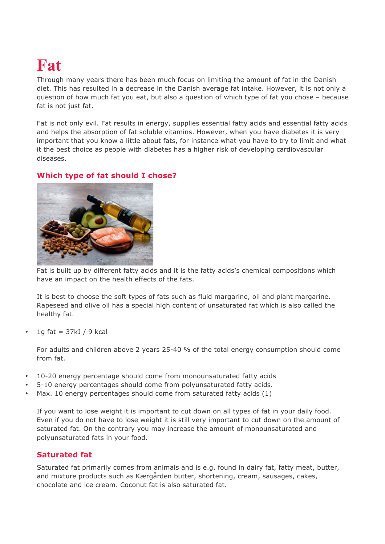# **Fat**

Through many years there has been much focus on limiting the amount of fat in the Danish diet. This has resulted in a decrease in the Danish average fat intake. However, it is not only a question of how much fat you eat, but also a question of which type of fat you chose – because fat is not just fat.

Fat is not only evil. Fat results in energy, supplies essential fatty acids and essential fatty acids and helps the absorption of fat soluble vitamins. However, when you have diabetes it is very important that you know a little about fats, for instance what you have to try to limit and what it the best choice as people with diabetes has a higher risk of developing cardiovascular diseases.

## **Which type of fat should I chose?**



Fat is built up by different fatty acids and it is the fatty acids's chemical compositions which have an impact on the health effects of the fats.

It is best to choose the soft types of fats such as fluid margarine, oil and plant margarine. Rapeseed and olive oil has a special high content of unsaturated fat which is also called the healthy fat.

1g fat  $= 37k$ J / 9 kcal

For adults and children above 2 years 25-40 % of the total energy consumption should come from fat.

- 10-20 energy percentage should come from monounsaturated fatty acids
- 5-10 energy percentages should come from polyunsaturated fatty acids.
- Max. 10 energy percentages should come from saturated fatty acids (1)

If you want to lose weight it is important to cut down on all types of fat in your daily food. Even if you do not have to lose weight it is still very important to cut down on the amount of saturated fat. On the contrary you may increase the amount of monounsaturated and polyunsaturated fats in your food.

## **Saturated fat**

Saturated fat primarily comes from animals and is e.g. found in dairy fat, fatty meat, butter, and mixture products such as Kærgården butter, shortening, cream, sausages, cakes, chocolate and ice cream. Coconut fat is also saturated fat.